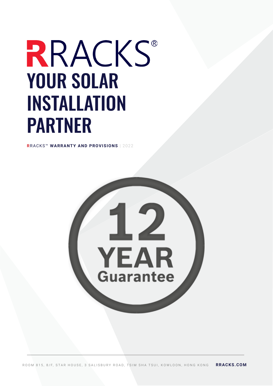# RRACKS® YOUR SOLAR INSTALLATION PARTNER

**R**RACKS™ **WARRANTY AND PROVISIONS** | 2022

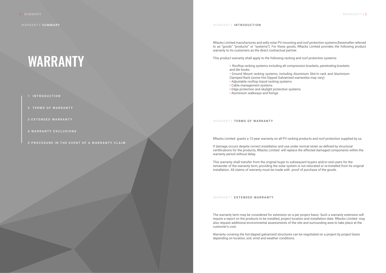WARRANTY SUMMARY

RRacks Limited manufactures and sells solar PV mounting and roof protection systems [hereinafter referred to as "goods" "products" or "systems"]. For these goods, RRacks Limited provides the following product warranty to its customers as the direct contractual partner.

This product warranty shall apply to the following racking and roof protection systems:

• Ground Mount racking systems, including Aluminium Slot-In rack and Aluminium

- **•** Rooftop racking systems including all compression brackets, penetrating brackets and tile hooks
- Clamped Rack (some Hot Dipped Galvanized warranties may vary)
- Adjustable rooftop tripod racking systems
- Cable management systems
- **•** Edge protection and skylight protection systems
- Aluminium walkways and fixings
- 1 INTRODUCTION
- 2 TERMS OF WARRANTY
- 3 EXTENDED WARRANTY
- 4 WARRANTY EXCLUSIONS
- 5 PROCEDURE IN THE EVENT OF A WARRANTY CLAIM

#### WARRANTY INTRODUCTION

## WARRANTY

### WARRANTY TERMS OF WARRANTY

RRacks Limited grants a 12-year warranty on all PV racking products and roof protection supplied by us.

If damage occurs despite correct installation and use under normal strain as defined by structural certifications for the products, RRacks Limited will replace the affected damaged components within the warranty period without delay.

This warranty shall transfer from the original buyer to subsequent buyers and/or end users for the remainder of the warranty term, providing the solar system is not relocated or re-installed from its original installation. All claims of warranty must be made with proof of purchase of the goods.

### WARRANTY **EXTENDED WARRANTY**

The warranty term may be considered for extension on a per project basis. Such a warranty extension will require a report on the products to be installed, project location and installation date. RRacks Limited may also request additional environmental assessments of the site and surrounding area to take place at the customer's cost.

Warranty covering the hot-dipped galvanized structures can be negotiated on a project by project basis depending on location, soil, wind and weather conditions.